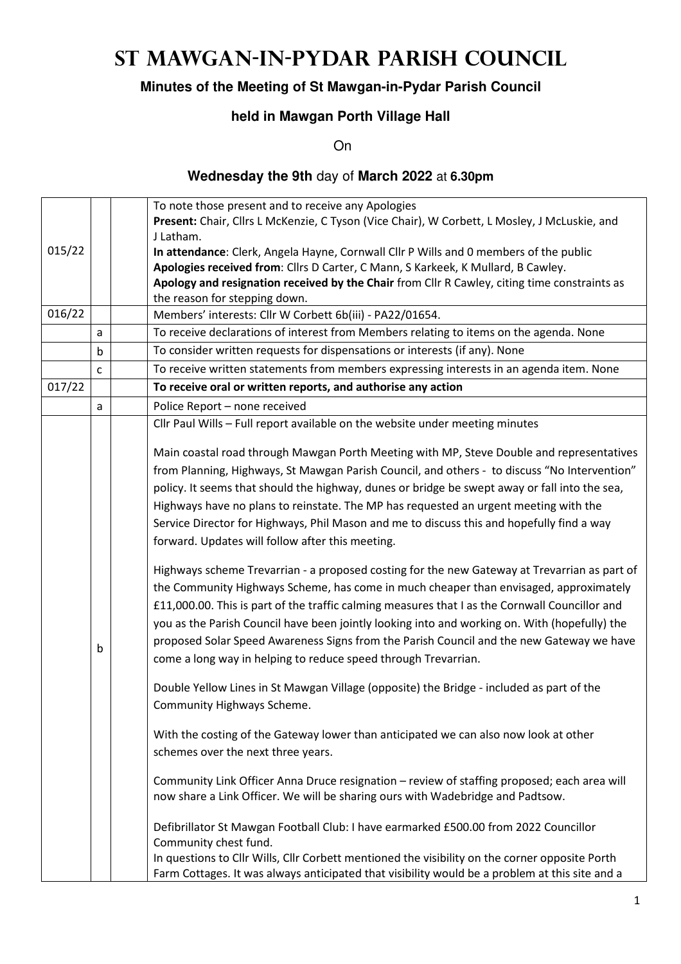# **St Mawgan-in-Pydar Parish Council**

## **Minutes of the Meeting of St Mawgan-in-Pydar Parish Council**

## **held in Mawgan Porth Village Hall**

On

#### **Wednesday the 9th** day of **March 2022** at **6.30pm**

|        |                                                                                                                               | To note those present and to receive any Apologies                                             |  |  |  |  |
|--------|-------------------------------------------------------------------------------------------------------------------------------|------------------------------------------------------------------------------------------------|--|--|--|--|
|        |                                                                                                                               | Present: Chair, Cllrs L McKenzie, C Tyson (Vice Chair), W Corbett, L Mosley, J McLuskie, and   |  |  |  |  |
|        |                                                                                                                               | J Latham.                                                                                      |  |  |  |  |
| 015/22 |                                                                                                                               | In attendance: Clerk, Angela Hayne, Cornwall Cllr P Wills and 0 members of the public          |  |  |  |  |
|        |                                                                                                                               | Apologies received from: Cllrs D Carter, C Mann, S Karkeek, K Mullard, B Cawley.               |  |  |  |  |
|        | Apology and resignation received by the Chair from Cllr R Cawley, citing time constraints as<br>the reason for stepping down. |                                                                                                |  |  |  |  |
| 016/22 |                                                                                                                               | Members' interests: Cllr W Corbett 6b(iii) - PA22/01654.                                       |  |  |  |  |
|        |                                                                                                                               | To receive declarations of interest from Members relating to items on the agenda. None         |  |  |  |  |
|        | a                                                                                                                             |                                                                                                |  |  |  |  |
|        | $\mathsf b$                                                                                                                   | To consider written requests for dispensations or interests (if any). None                     |  |  |  |  |
|        | $\mathsf{C}$                                                                                                                  | To receive written statements from members expressing interests in an agenda item. None        |  |  |  |  |
| 017/22 | To receive oral or written reports, and authorise any action                                                                  |                                                                                                |  |  |  |  |
|        | Police Report - none received<br>a                                                                                            |                                                                                                |  |  |  |  |
|        |                                                                                                                               | Cllr Paul Wills - Full report available on the website under meeting minutes                   |  |  |  |  |
|        |                                                                                                                               | Main coastal road through Mawgan Porth Meeting with MP, Steve Double and representatives       |  |  |  |  |
|        |                                                                                                                               | from Planning, Highways, St Mawgan Parish Council, and others - to discuss "No Intervention"   |  |  |  |  |
|        |                                                                                                                               | policy. It seems that should the highway, dunes or bridge be swept away or fall into the sea,  |  |  |  |  |
|        |                                                                                                                               | Highways have no plans to reinstate. The MP has requested an urgent meeting with the           |  |  |  |  |
|        |                                                                                                                               | Service Director for Highways, Phil Mason and me to discuss this and hopefully find a way      |  |  |  |  |
|        |                                                                                                                               | forward. Updates will follow after this meeting.                                               |  |  |  |  |
|        |                                                                                                                               |                                                                                                |  |  |  |  |
|        |                                                                                                                               | Highways scheme Trevarrian - a proposed costing for the new Gateway at Trevarrian as part of   |  |  |  |  |
|        |                                                                                                                               | the Community Highways Scheme, has come in much cheaper than envisaged, approximately          |  |  |  |  |
|        |                                                                                                                               | £11,000.00. This is part of the traffic calming measures that I as the Cornwall Councillor and |  |  |  |  |
|        |                                                                                                                               | you as the Parish Council have been jointly looking into and working on. With (hopefully) the  |  |  |  |  |
|        |                                                                                                                               | proposed Solar Speed Awareness Signs from the Parish Council and the new Gateway we have       |  |  |  |  |
|        | b                                                                                                                             | come a long way in helping to reduce speed through Trevarrian.                                 |  |  |  |  |
|        |                                                                                                                               |                                                                                                |  |  |  |  |
|        |                                                                                                                               | Double Yellow Lines in St Mawgan Village (opposite) the Bridge - included as part of the       |  |  |  |  |
|        |                                                                                                                               | Community Highways Scheme.                                                                     |  |  |  |  |
|        |                                                                                                                               |                                                                                                |  |  |  |  |
|        |                                                                                                                               | With the costing of the Gateway lower than anticipated we can also now look at other           |  |  |  |  |
|        |                                                                                                                               | schemes over the next three years.                                                             |  |  |  |  |
|        |                                                                                                                               | Community Link Officer Anna Druce resignation - review of staffing proposed; each area will    |  |  |  |  |
|        |                                                                                                                               | now share a Link Officer. We will be sharing ours with Wadebridge and Padtsow.                 |  |  |  |  |
|        |                                                                                                                               |                                                                                                |  |  |  |  |
|        |                                                                                                                               | Defibrillator St Mawgan Football Club: I have earmarked £500.00 from 2022 Councillor           |  |  |  |  |
|        |                                                                                                                               | Community chest fund.                                                                          |  |  |  |  |
|        |                                                                                                                               | In questions to Cllr Wills, Cllr Corbett mentioned the visibility on the corner opposite Porth |  |  |  |  |
|        |                                                                                                                               | Farm Cottages. It was always anticipated that visibility would be a problem at this site and a |  |  |  |  |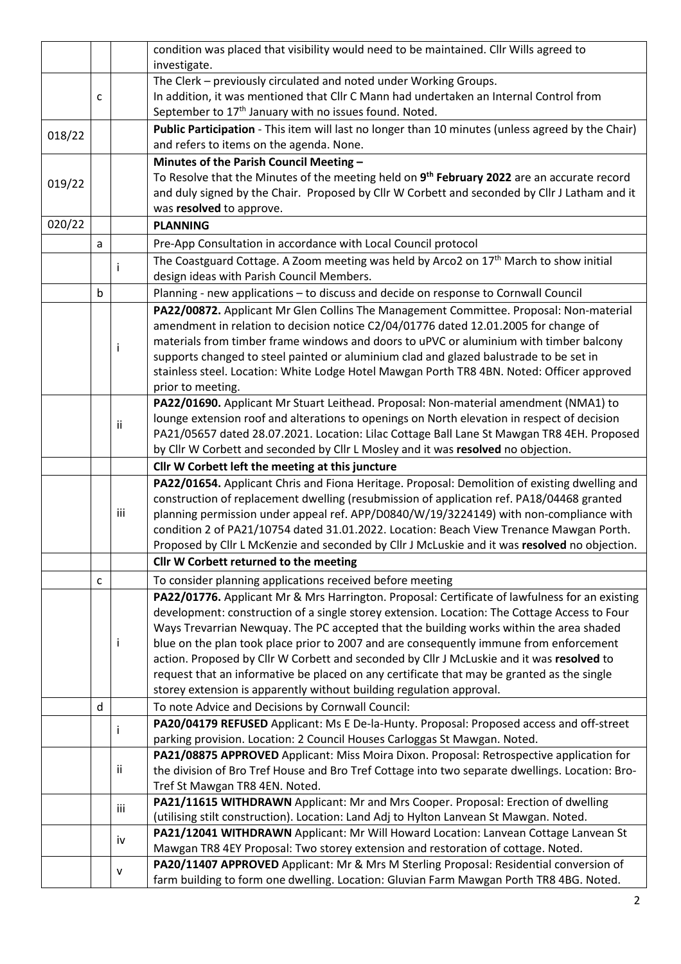|              |                                                                                                                                                                                          |     | condition was placed that visibility would need to be maintained. Cllr Wills agreed to                                                                                                         |  |  |  |  |
|--------------|------------------------------------------------------------------------------------------------------------------------------------------------------------------------------------------|-----|------------------------------------------------------------------------------------------------------------------------------------------------------------------------------------------------|--|--|--|--|
|              |                                                                                                                                                                                          |     | investigate.                                                                                                                                                                                   |  |  |  |  |
|              |                                                                                                                                                                                          |     | The Clerk - previously circulated and noted under Working Groups.                                                                                                                              |  |  |  |  |
|              | c                                                                                                                                                                                        |     | In addition, it was mentioned that Cllr C Mann had undertaken an Internal Control from                                                                                                         |  |  |  |  |
|              |                                                                                                                                                                                          |     | September to 17 <sup>th</sup> January with no issues found. Noted.                                                                                                                             |  |  |  |  |
| 018/22       |                                                                                                                                                                                          |     | Public Participation - This item will last no longer than 10 minutes (unless agreed by the Chair)<br>and refers to items on the agenda. None.                                                  |  |  |  |  |
|              |                                                                                                                                                                                          |     |                                                                                                                                                                                                |  |  |  |  |
|              | Minutes of the Parish Council Meeting -                                                                                                                                                  |     |                                                                                                                                                                                                |  |  |  |  |
| 019/22       |                                                                                                                                                                                          |     | To Resolve that the Minutes of the meeting held on 9 <sup>th</sup> February 2022 are an accurate record                                                                                        |  |  |  |  |
|              |                                                                                                                                                                                          |     | and duly signed by the Chair. Proposed by Cllr W Corbett and seconded by Cllr J Latham and it                                                                                                  |  |  |  |  |
|              |                                                                                                                                                                                          |     | was resolved to approve.                                                                                                                                                                       |  |  |  |  |
| 020/22       |                                                                                                                                                                                          |     | <b>PLANNING</b>                                                                                                                                                                                |  |  |  |  |
|              | a                                                                                                                                                                                        |     | Pre-App Consultation in accordance with Local Council protocol                                                                                                                                 |  |  |  |  |
|              |                                                                                                                                                                                          |     | The Coastguard Cottage. A Zoom meeting was held by Arco2 on 17 <sup>th</sup> March to show initial                                                                                             |  |  |  |  |
|              |                                                                                                                                                                                          | i   | design ideas with Parish Council Members.                                                                                                                                                      |  |  |  |  |
|              | $\mathsf b$                                                                                                                                                                              |     | Planning - new applications - to discuss and decide on response to Cornwall Council                                                                                                            |  |  |  |  |
|              |                                                                                                                                                                                          |     | PA22/00872. Applicant Mr Glen Collins The Management Committee. Proposal: Non-material                                                                                                         |  |  |  |  |
|              |                                                                                                                                                                                          |     | amendment in relation to decision notice C2/04/01776 dated 12.01.2005 for change of                                                                                                            |  |  |  |  |
|              |                                                                                                                                                                                          |     | materials from timber frame windows and doors to uPVC or aluminium with timber balcony                                                                                                         |  |  |  |  |
|              |                                                                                                                                                                                          | Ť   | supports changed to steel painted or aluminium clad and glazed balustrade to be set in                                                                                                         |  |  |  |  |
|              |                                                                                                                                                                                          |     | stainless steel. Location: White Lodge Hotel Mawgan Porth TR8 4BN. Noted: Officer approved                                                                                                     |  |  |  |  |
|              |                                                                                                                                                                                          |     | prior to meeting.                                                                                                                                                                              |  |  |  |  |
|              |                                                                                                                                                                                          |     | PA22/01690. Applicant Mr Stuart Leithead. Proposal: Non-material amendment (NMA1) to                                                                                                           |  |  |  |  |
|              |                                                                                                                                                                                          |     | lounge extension roof and alterations to openings on North elevation in respect of decision                                                                                                    |  |  |  |  |
|              |                                                                                                                                                                                          | ii  | PA21/05657 dated 28.07.2021. Location: Lilac Cottage Ball Lane St Mawgan TR8 4EH. Proposed                                                                                                     |  |  |  |  |
|              |                                                                                                                                                                                          |     | by Cllr W Corbett and seconded by Cllr L Mosley and it was resolved no objection.                                                                                                              |  |  |  |  |
|              |                                                                                                                                                                                          |     | Cllr W Corbett left the meeting at this juncture                                                                                                                                               |  |  |  |  |
|              |                                                                                                                                                                                          |     | PA22/01654. Applicant Chris and Fiona Heritage. Proposal: Demolition of existing dwelling and                                                                                                  |  |  |  |  |
|              |                                                                                                                                                                                          |     | construction of replacement dwelling (resubmission of application ref. PA18/04468 granted                                                                                                      |  |  |  |  |
|              | iii<br>planning permission under appeal ref. APP/D0840/W/19/3224149) with non-compliance with<br>condition 2 of PA21/10754 dated 31.01.2022. Location: Beach View Trenance Mawgan Porth. |     |                                                                                                                                                                                                |  |  |  |  |
|              |                                                                                                                                                                                          |     |                                                                                                                                                                                                |  |  |  |  |
|              |                                                                                                                                                                                          |     | Proposed by Cllr L McKenzie and seconded by Cllr J McLuskie and it was resolved no objection.                                                                                                  |  |  |  |  |
|              |                                                                                                                                                                                          |     | Cllr W Corbett returned to the meeting                                                                                                                                                         |  |  |  |  |
|              |                                                                                                                                                                                          |     | To consider planning applications received before meeting                                                                                                                                      |  |  |  |  |
| $\mathsf{C}$ |                                                                                                                                                                                          |     |                                                                                                                                                                                                |  |  |  |  |
|              |                                                                                                                                                                                          |     | PA22/01776. Applicant Mr & Mrs Harrington. Proposal: Certificate of lawfulness for an existing<br>development: construction of a single storey extension. Location: The Cottage Access to Four |  |  |  |  |
|              |                                                                                                                                                                                          | Ť   | Ways Trevarrian Newquay. The PC accepted that the building works within the area shaded                                                                                                        |  |  |  |  |
|              |                                                                                                                                                                                          |     | blue on the plan took place prior to 2007 and are consequently immune from enforcement                                                                                                         |  |  |  |  |
|              |                                                                                                                                                                                          |     | action. Proposed by Cllr W Corbett and seconded by Cllr J McLuskie and it was resolved to                                                                                                      |  |  |  |  |
|              |                                                                                                                                                                                          |     | request that an informative be placed on any certificate that may be granted as the single                                                                                                     |  |  |  |  |
|              |                                                                                                                                                                                          |     | storey extension is apparently without building regulation approval.                                                                                                                           |  |  |  |  |
|              | d                                                                                                                                                                                        |     | To note Advice and Decisions by Cornwall Council:                                                                                                                                              |  |  |  |  |
|              |                                                                                                                                                                                          |     |                                                                                                                                                                                                |  |  |  |  |
| -1           |                                                                                                                                                                                          |     | PA20/04179 REFUSED Applicant: Ms E De-la-Hunty. Proposal: Proposed access and off-street<br>parking provision. Location: 2 Council Houses Carloggas St Mawgan. Noted.                          |  |  |  |  |
|              |                                                                                                                                                                                          |     | PA21/08875 APPROVED Applicant: Miss Moira Dixon. Proposal: Retrospective application for                                                                                                       |  |  |  |  |
|              |                                                                                                                                                                                          |     | the division of Bro Tref House and Bro Tref Cottage into two separate dwellings. Location: Bro-                                                                                                |  |  |  |  |
| ii.          |                                                                                                                                                                                          |     | Tref St Mawgan TR8 4EN. Noted.                                                                                                                                                                 |  |  |  |  |
|              |                                                                                                                                                                                          |     |                                                                                                                                                                                                |  |  |  |  |
|              |                                                                                                                                                                                          | iii | PA21/11615 WITHDRAWN Applicant: Mr and Mrs Cooper. Proposal: Erection of dwelling<br>(utilising stilt construction). Location: Land Adj to Hylton Lanvean St Mawgan. Noted.                    |  |  |  |  |
|              |                                                                                                                                                                                          |     | PA21/12041 WITHDRAWN Applicant: Mr Will Howard Location: Lanvean Cottage Lanvean St                                                                                                            |  |  |  |  |
|              |                                                                                                                                                                                          | iv  | Mawgan TR8 4EY Proposal: Two storey extension and restoration of cottage. Noted.                                                                                                               |  |  |  |  |
|              | PA20/11407 APPROVED Applicant: Mr & Mrs M Sterling Proposal: Residential conversion of                                                                                                   |     |                                                                                                                                                                                                |  |  |  |  |
|              |                                                                                                                                                                                          | v   | farm building to form one dwelling. Location: Gluvian Farm Mawgan Porth TR8 4BG. Noted.                                                                                                        |  |  |  |  |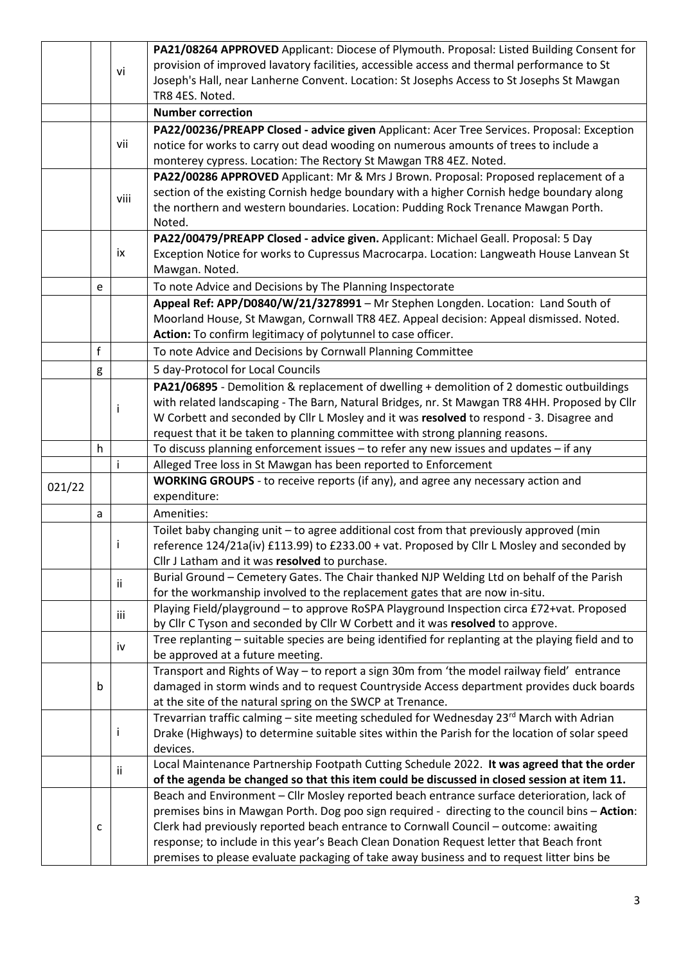|                                                                                  |                                                                                        |                                                                                                                                             | PA21/08264 APPROVED Applicant: Diocese of Plymouth. Proposal: Listed Building Consent for          |  |  |  |  |  |  |
|----------------------------------------------------------------------------------|----------------------------------------------------------------------------------------|---------------------------------------------------------------------------------------------------------------------------------------------|----------------------------------------------------------------------------------------------------|--|--|--|--|--|--|
|                                                                                  |                                                                                        | vi                                                                                                                                          | provision of improved lavatory facilities, accessible access and thermal performance to St         |  |  |  |  |  |  |
|                                                                                  |                                                                                        |                                                                                                                                             | Joseph's Hall, near Lanherne Convent. Location: St Josephs Access to St Josephs St Mawgan          |  |  |  |  |  |  |
|                                                                                  |                                                                                        |                                                                                                                                             | TR8 4ES. Noted.                                                                                    |  |  |  |  |  |  |
|                                                                                  |                                                                                        |                                                                                                                                             | <b>Number correction</b>                                                                           |  |  |  |  |  |  |
|                                                                                  |                                                                                        |                                                                                                                                             | PA22/00236/PREAPP Closed - advice given Applicant: Acer Tree Services. Proposal: Exception         |  |  |  |  |  |  |
|                                                                                  |                                                                                        | vii                                                                                                                                         | notice for works to carry out dead wooding on numerous amounts of trees to include a               |  |  |  |  |  |  |
|                                                                                  |                                                                                        |                                                                                                                                             | monterey cypress. Location: The Rectory St Mawgan TR8 4EZ. Noted.                                  |  |  |  |  |  |  |
|                                                                                  |                                                                                        |                                                                                                                                             | PA22/00286 APPROVED Applicant: Mr & Mrs J Brown. Proposal: Proposed replacement of a               |  |  |  |  |  |  |
|                                                                                  | viii                                                                                   |                                                                                                                                             | section of the existing Cornish hedge boundary with a higher Cornish hedge boundary along          |  |  |  |  |  |  |
|                                                                                  |                                                                                        |                                                                                                                                             | the northern and western boundaries. Location: Pudding Rock Trenance Mawgan Porth.                 |  |  |  |  |  |  |
|                                                                                  |                                                                                        |                                                                                                                                             | Noted.                                                                                             |  |  |  |  |  |  |
|                                                                                  |                                                                                        |                                                                                                                                             | PA22/00479/PREAPP Closed - advice given. Applicant: Michael Geall. Proposal: 5 Day                 |  |  |  |  |  |  |
|                                                                                  |                                                                                        | ix                                                                                                                                          | Exception Notice for works to Cupressus Macrocarpa. Location: Langweath House Lanvean St           |  |  |  |  |  |  |
|                                                                                  |                                                                                        |                                                                                                                                             | Mawgan. Noted.                                                                                     |  |  |  |  |  |  |
| To note Advice and Decisions by The Planning Inspectorate<br>e                   |                                                                                        |                                                                                                                                             |                                                                                                    |  |  |  |  |  |  |
| Appeal Ref: APP/D0840/W/21/3278991 - Mr Stephen Longden. Location: Land South of |                                                                                        |                                                                                                                                             |                                                                                                    |  |  |  |  |  |  |
|                                                                                  | Moorland House, St Mawgan, Cornwall TR8 4EZ. Appeal decision: Appeal dismissed. Noted. |                                                                                                                                             |                                                                                                    |  |  |  |  |  |  |
|                                                                                  |                                                                                        |                                                                                                                                             | Action: To confirm legitimacy of polytunnel to case officer.                                       |  |  |  |  |  |  |
|                                                                                  | $\mathsf{f}$                                                                           |                                                                                                                                             | To note Advice and Decisions by Cornwall Planning Committee                                        |  |  |  |  |  |  |
|                                                                                  | g                                                                                      |                                                                                                                                             | 5 day-Protocol for Local Councils                                                                  |  |  |  |  |  |  |
|                                                                                  |                                                                                        |                                                                                                                                             | PA21/06895 - Demolition & replacement of dwelling + demolition of 2 domestic outbuildings          |  |  |  |  |  |  |
|                                                                                  |                                                                                        |                                                                                                                                             | with related landscaping - The Barn, Natural Bridges, nr. St Mawgan TR8 4HH. Proposed by Cllr      |  |  |  |  |  |  |
|                                                                                  |                                                                                        |                                                                                                                                             | W Corbett and seconded by Cllr L Mosley and it was resolved to respond - 3. Disagree and           |  |  |  |  |  |  |
|                                                                                  |                                                                                        |                                                                                                                                             | request that it be taken to planning committee with strong planning reasons.                       |  |  |  |  |  |  |
|                                                                                  | h                                                                                      |                                                                                                                                             | To discuss planning enforcement issues - to refer any new issues and updates - if any              |  |  |  |  |  |  |
|                                                                                  |                                                                                        |                                                                                                                                             | Alleged Tree loss in St Mawgan has been reported to Enforcement                                    |  |  |  |  |  |  |
| 021/22                                                                           |                                                                                        |                                                                                                                                             | <b>WORKING GROUPS</b> - to receive reports (if any), and agree any necessary action and            |  |  |  |  |  |  |
|                                                                                  |                                                                                        |                                                                                                                                             | expenditure:                                                                                       |  |  |  |  |  |  |
|                                                                                  | a                                                                                      |                                                                                                                                             | Amenities:                                                                                         |  |  |  |  |  |  |
|                                                                                  |                                                                                        |                                                                                                                                             | Toilet baby changing unit - to agree additional cost from that previously approved (min            |  |  |  |  |  |  |
|                                                                                  |                                                                                        | reference 124/21a(iv) £113.99) to £233.00 + vat. Proposed by Cllr L Mosley and seconded by                                                  |                                                                                                    |  |  |  |  |  |  |
|                                                                                  |                                                                                        | Cllr J Latham and it was resolved to purchase.<br>Burial Ground - Cemetery Gates. The Chair thanked NJP Welding Ltd on behalf of the Parish |                                                                                                    |  |  |  |  |  |  |
|                                                                                  |                                                                                        | ii.                                                                                                                                         | for the workmanship involved to the replacement gates that are now in-situ.                        |  |  |  |  |  |  |
|                                                                                  |                                                                                        |                                                                                                                                             | Playing Field/playground - to approve RoSPA Playground Inspection circa £72+vat. Proposed          |  |  |  |  |  |  |
|                                                                                  |                                                                                        | iii                                                                                                                                         | by Cllr C Tyson and seconded by Cllr W Corbett and it was resolved to approve.                     |  |  |  |  |  |  |
|                                                                                  |                                                                                        |                                                                                                                                             | Tree replanting - suitable species are being identified for replanting at the playing field and to |  |  |  |  |  |  |
|                                                                                  |                                                                                        | iv                                                                                                                                          | be approved at a future meeting.                                                                   |  |  |  |  |  |  |
|                                                                                  |                                                                                        |                                                                                                                                             | Transport and Rights of Way - to report a sign 30m from 'the model railway field' entrance         |  |  |  |  |  |  |
|                                                                                  | b                                                                                      |                                                                                                                                             | damaged in storm winds and to request Countryside Access department provides duck boards           |  |  |  |  |  |  |
|                                                                                  |                                                                                        |                                                                                                                                             | at the site of the natural spring on the SWCP at Trenance.                                         |  |  |  |  |  |  |
|                                                                                  |                                                                                        |                                                                                                                                             | Trevarrian traffic calming – site meeting scheduled for Wednesday 23rd March with Adrian           |  |  |  |  |  |  |
|                                                                                  |                                                                                        |                                                                                                                                             | Drake (Highways) to determine suitable sites within the Parish for the location of solar speed     |  |  |  |  |  |  |
|                                                                                  |                                                                                        |                                                                                                                                             | devices.                                                                                           |  |  |  |  |  |  |
|                                                                                  |                                                                                        | ii                                                                                                                                          | Local Maintenance Partnership Footpath Cutting Schedule 2022. It was agreed that the order         |  |  |  |  |  |  |
|                                                                                  |                                                                                        |                                                                                                                                             | of the agenda be changed so that this item could be discussed in closed session at item 11.        |  |  |  |  |  |  |
|                                                                                  |                                                                                        |                                                                                                                                             | Beach and Environment - Cllr Mosley reported beach entrance surface deterioration, lack of         |  |  |  |  |  |  |
|                                                                                  |                                                                                        |                                                                                                                                             | premises bins in Mawgan Porth. Dog poo sign required - directing to the council bins - Action:     |  |  |  |  |  |  |
|                                                                                  | c                                                                                      |                                                                                                                                             | Clerk had previously reported beach entrance to Cornwall Council - outcome: awaiting               |  |  |  |  |  |  |
|                                                                                  |                                                                                        |                                                                                                                                             | response; to include in this year's Beach Clean Donation Request letter that Beach front           |  |  |  |  |  |  |
|                                                                                  |                                                                                        |                                                                                                                                             | premises to please evaluate packaging of take away business and to request litter bins be          |  |  |  |  |  |  |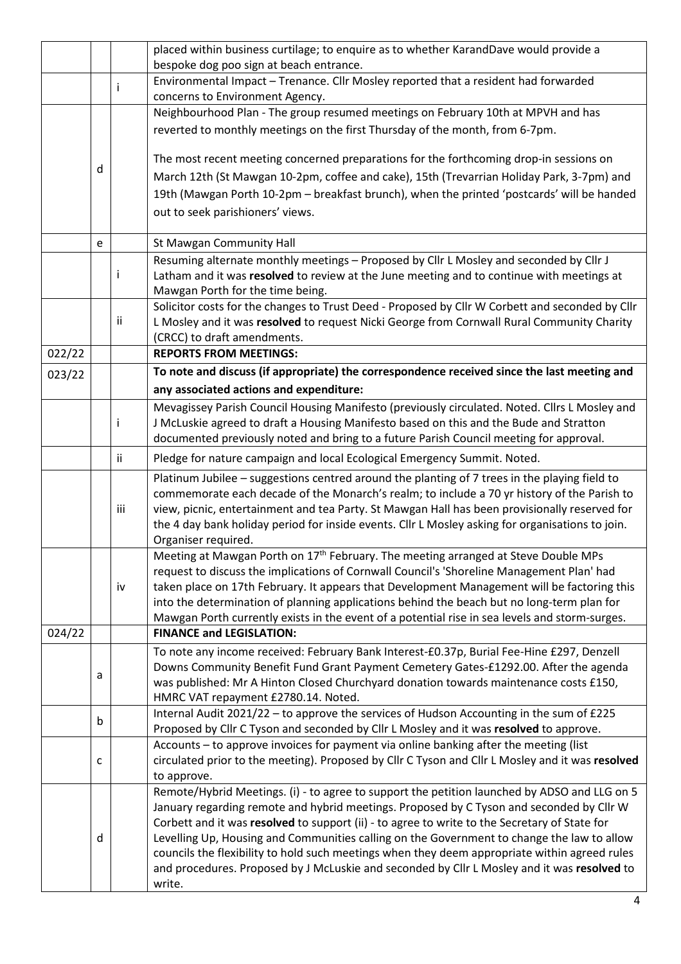|                                                                                                       |   |     | placed within business curtilage; to enquire as to whether KarandDave would provide a                                                                                                       |  |  |  |  |  |
|-------------------------------------------------------------------------------------------------------|---|-----|---------------------------------------------------------------------------------------------------------------------------------------------------------------------------------------------|--|--|--|--|--|
|                                                                                                       |   |     | bespoke dog poo sign at beach entrance.                                                                                                                                                     |  |  |  |  |  |
|                                                                                                       |   | I   | Environmental Impact - Trenance. Cllr Mosley reported that a resident had forwarded<br>concerns to Environment Agency.                                                                      |  |  |  |  |  |
|                                                                                                       |   |     | Neighbourhood Plan - The group resumed meetings on February 10th at MPVH and has                                                                                                            |  |  |  |  |  |
|                                                                                                       |   |     | reverted to monthly meetings on the first Thursday of the month, from 6-7pm.                                                                                                                |  |  |  |  |  |
|                                                                                                       |   |     |                                                                                                                                                                                             |  |  |  |  |  |
|                                                                                                       |   |     | The most recent meeting concerned preparations for the forthcoming drop-in sessions on                                                                                                      |  |  |  |  |  |
|                                                                                                       | d |     | March 12th (St Mawgan 10-2pm, coffee and cake), 15th (Trevarrian Holiday Park, 3-7pm) and                                                                                                   |  |  |  |  |  |
|                                                                                                       |   |     | 19th (Mawgan Porth 10-2pm - breakfast brunch), when the printed 'postcards' will be handed                                                                                                  |  |  |  |  |  |
|                                                                                                       |   |     | out to seek parishioners' views.                                                                                                                                                            |  |  |  |  |  |
|                                                                                                       | e |     |                                                                                                                                                                                             |  |  |  |  |  |
|                                                                                                       |   |     | St Mawgan Community Hall<br>Resuming alternate monthly meetings - Proposed by Cllr L Mosley and seconded by Cllr J                                                                          |  |  |  |  |  |
|                                                                                                       |   | Ť   | Latham and it was resolved to review at the June meeting and to continue with meetings at                                                                                                   |  |  |  |  |  |
|                                                                                                       |   |     | Mawgan Porth for the time being.                                                                                                                                                            |  |  |  |  |  |
|                                                                                                       |   |     | Solicitor costs for the changes to Trust Deed - Proposed by Cllr W Corbett and seconded by Cllr                                                                                             |  |  |  |  |  |
|                                                                                                       |   | Ϊİ  | L Mosley and it was resolved to request Nicki George from Cornwall Rural Community Charity                                                                                                  |  |  |  |  |  |
|                                                                                                       |   |     | (CRCC) to draft amendments.                                                                                                                                                                 |  |  |  |  |  |
| 022/22                                                                                                |   |     | <b>REPORTS FROM MEETINGS:</b>                                                                                                                                                               |  |  |  |  |  |
| To note and discuss (if appropriate) the correspondence received since the last meeting and<br>023/22 |   |     |                                                                                                                                                                                             |  |  |  |  |  |
|                                                                                                       |   |     | any associated actions and expenditure:                                                                                                                                                     |  |  |  |  |  |
|                                                                                                       |   |     | Mevagissey Parish Council Housing Manifesto (previously circulated. Noted. Cllrs L Mosley and                                                                                               |  |  |  |  |  |
|                                                                                                       |   | İ   | J McLuskie agreed to draft a Housing Manifesto based on this and the Bude and Stratton                                                                                                      |  |  |  |  |  |
|                                                                                                       |   |     | documented previously noted and bring to a future Parish Council meeting for approval.                                                                                                      |  |  |  |  |  |
|                                                                                                       |   | ii. | Pledge for nature campaign and local Ecological Emergency Summit. Noted.                                                                                                                    |  |  |  |  |  |
|                                                                                                       |   |     | Platinum Jubilee - suggestions centred around the planting of 7 trees in the playing field to                                                                                               |  |  |  |  |  |
|                                                                                                       |   |     | commemorate each decade of the Monarch's realm; to include a 70 yr history of the Parish to                                                                                                 |  |  |  |  |  |
|                                                                                                       |   | iii | view, picnic, entertainment and tea Party. St Mawgan Hall has been provisionally reserved for                                                                                               |  |  |  |  |  |
|                                                                                                       |   |     | the 4 day bank holiday period for inside events. Cllr L Mosley asking for organisations to join.<br>Organiser required.                                                                     |  |  |  |  |  |
|                                                                                                       |   |     | Meeting at Mawgan Porth on 17 <sup>th</sup> February. The meeting arranged at Steve Double MPs                                                                                              |  |  |  |  |  |
|                                                                                                       |   |     | request to discuss the implications of Cornwall Council's 'Shoreline Management Plan' had                                                                                                   |  |  |  |  |  |
|                                                                                                       |   | iv  | taken place on 17th February. It appears that Development Management will be factoring this                                                                                                 |  |  |  |  |  |
|                                                                                                       |   |     | into the determination of planning applications behind the beach but no long-term plan for                                                                                                  |  |  |  |  |  |
|                                                                                                       |   |     | Mawgan Porth currently exists in the event of a potential rise in sea levels and storm-surges.                                                                                              |  |  |  |  |  |
| 024/22                                                                                                |   |     | <b>FINANCE and LEGISLATION:</b>                                                                                                                                                             |  |  |  |  |  |
|                                                                                                       |   |     | To note any income received: February Bank Interest-£0.37p, Burial Fee-Hine £297, Denzell                                                                                                   |  |  |  |  |  |
|                                                                                                       | a |     | Downs Community Benefit Fund Grant Payment Cemetery Gates-£1292.00. After the agenda                                                                                                        |  |  |  |  |  |
|                                                                                                       |   |     | was published: Mr A Hinton Closed Churchyard donation towards maintenance costs £150,<br>HMRC VAT repayment £2780.14. Noted.                                                                |  |  |  |  |  |
|                                                                                                       |   |     | Internal Audit 2021/22 - to approve the services of Hudson Accounting in the sum of £225                                                                                                    |  |  |  |  |  |
|                                                                                                       | b |     | Proposed by Cllr C Tyson and seconded by Cllr L Mosley and it was resolved to approve.                                                                                                      |  |  |  |  |  |
|                                                                                                       |   |     | Accounts - to approve invoices for payment via online banking after the meeting (list                                                                                                       |  |  |  |  |  |
|                                                                                                       | C |     | circulated prior to the meeting). Proposed by Cllr C Tyson and Cllr L Mosley and it was resolved                                                                                            |  |  |  |  |  |
|                                                                                                       |   |     | to approve.                                                                                                                                                                                 |  |  |  |  |  |
|                                                                                                       |   |     | Remote/Hybrid Meetings. (i) - to agree to support the petition launched by ADSO and LLG on 5                                                                                                |  |  |  |  |  |
|                                                                                                       |   |     | January regarding remote and hybrid meetings. Proposed by C Tyson and seconded by Cllr W                                                                                                    |  |  |  |  |  |
|                                                                                                       |   |     | Corbett and it was resolved to support (ii) - to agree to write to the Secretary of State for                                                                                               |  |  |  |  |  |
|                                                                                                       | d |     | Levelling Up, Housing and Communities calling on the Government to change the law to allow<br>councils the flexibility to hold such meetings when they deem appropriate within agreed rules |  |  |  |  |  |
|                                                                                                       |   |     | and procedures. Proposed by J McLuskie and seconded by Cllr L Mosley and it was resolved to                                                                                                 |  |  |  |  |  |
|                                                                                                       |   |     | write.                                                                                                                                                                                      |  |  |  |  |  |